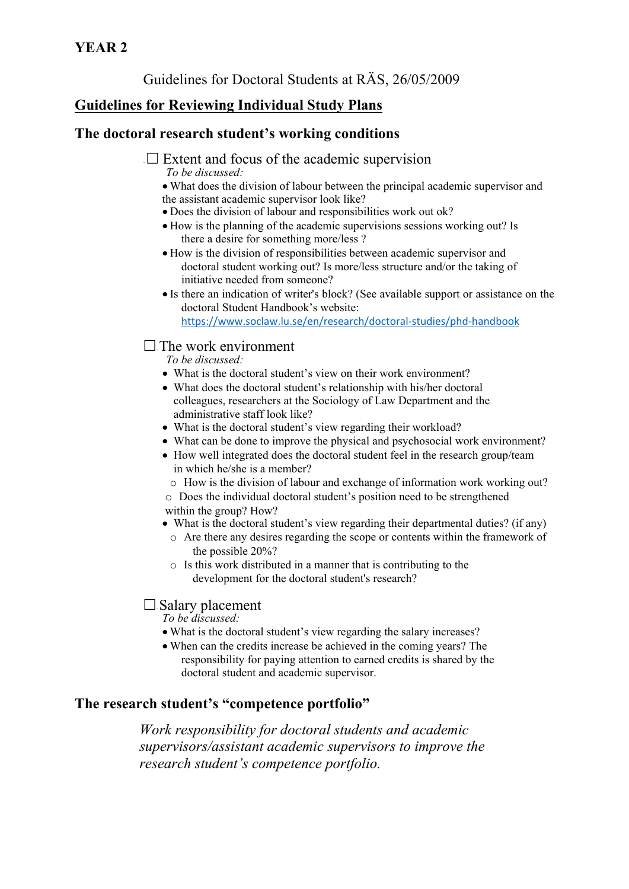Guidelines for Doctoral Students at RÄS, 26/05/2009

# **Guidelines for Reviewing Individual Study Plans**

### **The doctoral research student's working conditions**

- $\Box$  Extent and focus of the academic supervision *To be discussed:* 
	- What does the division of labour between the principal academic supervisor and the assistant academic supervisor look like?
	- Does the division of labour and responsibilities work out ok?
	- How is the planning of the academic supervisions sessions working out? Is there a desire for something more/less ?
	- How is the division of responsibilities between academic supervisor and doctoral student working out? Is more/less structure and/or the taking of initiative needed from someone?
	- Is there an indication of writer's block? (See available support or assistance on the doctoral Student Handbook's website: https://www.soclaw.lu.se/en/research/doctoral‐studies/phd‐handbook

### $\Box$  The work environment

*To be discussed:* 

- What is the doctoral student's view on their work environment?
- What does the doctoral student's relationship with his/her doctoral colleagues, researchers at the Sociology of Law Department and the administrative staff look like?
- What is the doctoral student's view regarding their workload?
- What can be done to improve the physical and psychosocial work environment?
- How well integrated does the doctoral student feel in the research group/team in which he/she is a member?
	- o How is the division of labour and exchange of information work working out?

o Does the individual doctoral student's position need to be strengthened within the group? How?

- What is the doctoral student's view regarding their departmental duties? (if any)
	- o Are there any desires regarding the scope or contents within the framework of the possible 20%?
	- o Is this work distributed in a manner that is contributing to the development for the doctoral student's research?

### $\Box$  Salary placement

*To be discussed:* 

- What is the doctoral student's view regarding the salary increases?
- When can the credits increase be achieved in the coming years? The responsibility for paying attention to earned credits is shared by the doctoral student and academic supervisor.

## **The research student's "competence portfolio"**

*Work responsibility for doctoral students and academic supervisors/assistant academic supervisors to improve the research student's competence portfolio.*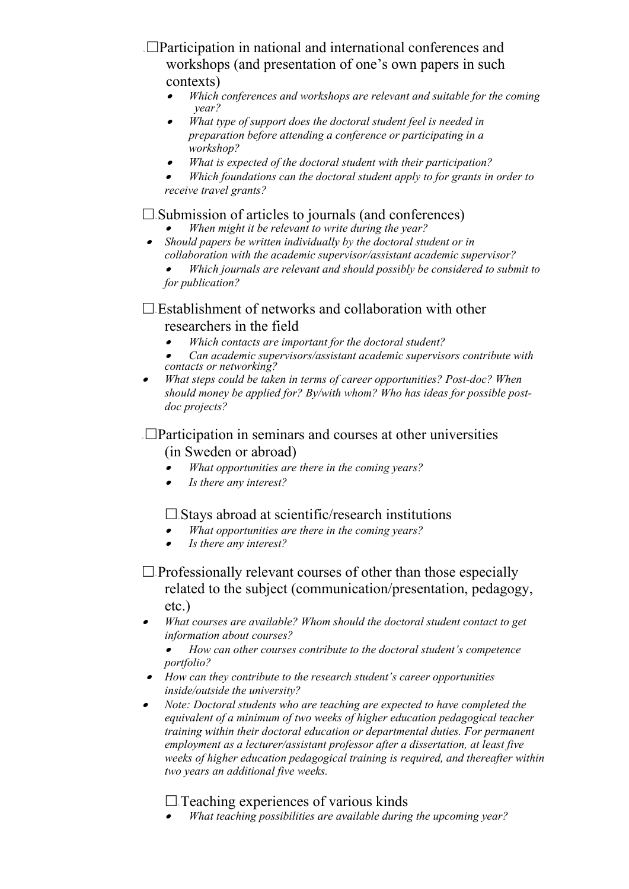<sup>~</sup>Participation in national and international conferences and workshops (and presentation of one's own papers in such contexts)

- $\bullet$  *Which conferences and workshops are relevant and suitable for the coming year?*
- $\bullet$  *What type of support does the doctoral student feel is needed in preparation before attending a conference or participating in a workshop?*
- . *What is expected of the doctoral student with their participation?*
- . *Which foundations can the doctoral student apply to for grants in order to receive travel grants?*

### $\Box$  Submission of articles to journals (and conferences)

- . *When might it be relevant to write during the year?*
- $\bullet$  *Should papers be written individually by the doctoral student or in collaboration with the academic supervisor/assistant academic supervisor?*

. *Which journals are relevant and should possibly be considered to submit to for publication?* 

## $\Box$  Establishment of networks and collaboration with other researchers in the field

- . *Which contacts are important for the doctoral student?*
- . *Can academic supervisors/assistant academic supervisors contribute with contacts or networking?*
- *What steps could be taken in terms of career opportunities? Post-doc? When should money be applied for? By/with whom? Who has ideas for possible postdoc projects?*

### $\Box$ Participation in seminars and courses at other universities (in Sweden or abroad)

- . *What opportunities are there in the coming years?*
- . *Is there any interest?*

### $\square$  Stavs abroad at scientific/research institutions

- $\bullet$ *What opportunities are there in the coming years?*
- . *Is there any interest?*

 $\Box$  Professionally relevant courses of other than those especially related to the subject (communication/presentation, pedagogy, etc.)

 $\bullet$  *What courses are available? Whom should the doctoral student contact to get information about courses?* 

. *How can other courses contribute to the doctoral student's competence portfolio?* 

- *How can they contribute to the research student's career opportunities inside/outside the university?*
- $\bullet$  *Note: Doctoral students who are teaching are expected to have completed the equivalent of a minimum of two weeks of higher education pedagogical teacher training within their doctoral education or departmental duties. For permanent employment as a lecturer/assistant professor after a dissertation, at least five weeks of higher education pedagogical training is required, and thereafter within two years an additional five weeks.*

### $\Box$  Teaching experiences of various kinds

. *What teaching possibilities are available during the upcoming year?*